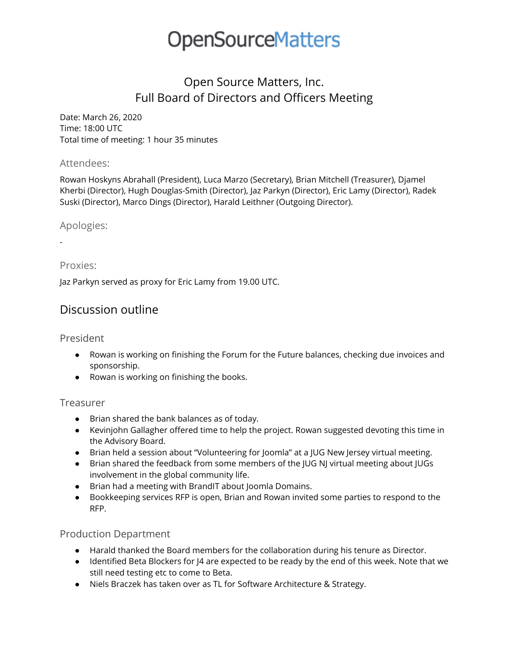# Open Source Matters, Inc. Full Board of Directors and Officers Meeting

Date: March 26, 2020 Time: 18:00 UTC Total time of meeting: 1 hour 35 minutes

#### Attendees:

Rowan Hoskyns Abrahall (President), Luca Marzo (Secretary), Brian Mitchell (Treasurer), Djamel Kherbi (Director), Hugh Douglas-Smith (Director), Jaz Parkyn (Director), Eric Lamy (Director), Radek Suski (Director), Marco Dings (Director), Harald Leithner (Outgoing Director).

## Apologies:

-

## Proxies:

Jaz Parkyn served as proxy for Eric Lamy from 19.00 UTC.

# Discussion outline

## President

- Rowan is working on finishing the Forum for the Future balances, checking due invoices and sponsorship.
- Rowan is working on finishing the books.

## Treasurer

- Brian shared the bank balances as of today.
- Kevinjohn Gallagher offered time to help the project. Rowan suggested devoting this time in the Advisory Board.
- Brian held a session about "Volunteering for Joomla" at a JUG New Jersey virtual meeting.
- Brian shared the feedback from some members of the JUG NJ virtual meeting about JUGs involvement in the global community life.
- Brian had a meeting with BrandIT about Joomla Domains.
- Bookkeeping services RFP is open, Brian and Rowan invited some parties to respond to the RFP.

## Production Department

- Harald thanked the Board members for the collaboration during his tenure as Director.
- Identified Beta Blockers for J4 are expected to be ready by the end of this week. Note that we still need testing etc to come to Beta.
- Niels Braczek has taken over as TL for Software Architecture & Strategy.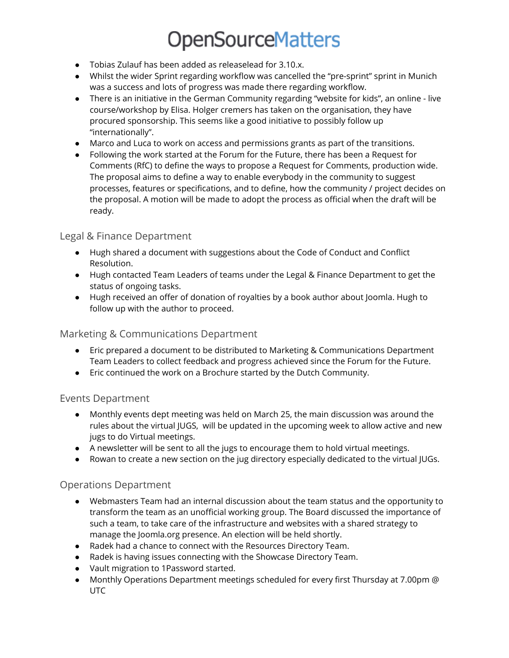- Tobias Zulauf has been added as releaselead for 3.10.x.
- Whilst the wider Sprint regarding workflow was cancelled the "pre-sprint" sprint in Munich was a success and lots of progress was made there regarding workflow.
- There is an initiative in the German Community regarding "website for kids", an online live course/workshop by Elisa. Holger cremers has taken on the organisation, they have procured sponsorship. This seems like a good initiative to possibly follow up "internationally".
- Marco and Luca to work on access and permissions grants as part of the transitions.
- Following the work started at the Forum for the Future, there has been a Request for Comments (RfC) to define the ways to propose a Request for Comments, production wide. The proposal aims to define a way to enable everybody in the community to suggest processes, features or specifications, and to define, how the community / project decides on the proposal. A motion will be made to adopt the process as official when the draft will be ready.

### Legal & Finance Department

- Hugh shared a document with suggestions about the Code of Conduct and Conflict Resolution.
- Hugh contacted Team Leaders of teams under the Legal & Finance Department to get the status of ongoing tasks.
- Hugh received an offer of donation of royalties by a book author about Joomla. Hugh to follow up with the author to proceed.

#### Marketing & Communications Department

- Eric prepared a document to be distributed to Marketing & Communications Department Team Leaders to collect feedback and progress achieved since the Forum for the Future.
- Eric continued the work on a Brochure started by the Dutch Community.

#### Events Department

- Monthly events dept meeting was held on March 25, the main discussion was around the rules about the virtual JUGS, will be updated in the upcoming week to allow active and new jugs to do Virtual meetings.
- A newsletter will be sent to all the jugs to encourage them to hold virtual meetings.
- Rowan to create a new section on the jug directory especially dedicated to the virtual JUGs.

#### Operations Department

- Webmasters Team had an internal discussion about the team status and the opportunity to transform the team as an unofficial working group. The Board discussed the importance of such a team, to take care of the infrastructure and websites with a shared strategy to manage the Joomla.org presence. An election will be held shortly.
- Radek had a chance to connect with the Resources Directory Team.
- Radek is having issues connecting with the Showcase Directory Team.
- Vault migration to 1Password started.
- Monthly Operations Department meetings scheduled for every first Thursday at 7.00pm @ UTC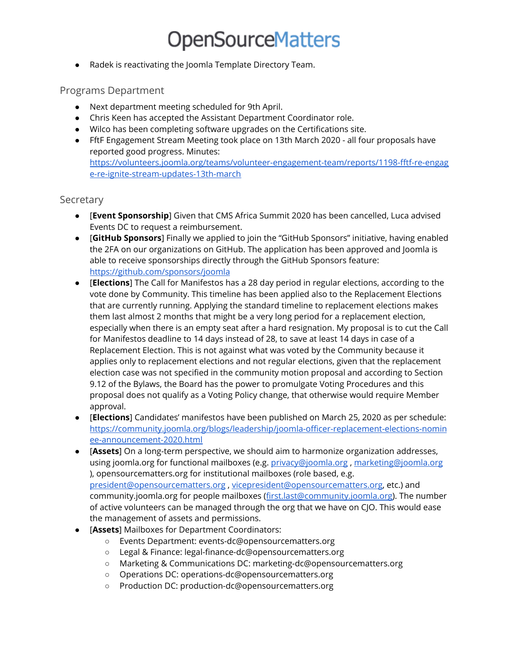● Radek is reactivating the Joomla Template Directory Team.

### Programs Department

- Next department meeting scheduled for 9th April.
- Chris Keen has accepted the Assistant Department Coordinator role.
- Wilco has been completing software upgrades on the Certifications site.
- FftF Engagement Stream Meeting took place on 13th March 2020 all four proposals have reported good progress. Minutes: [https://volunteers.joomla.org/teams/volunteer-engagement-team/reports/1198-fftf-re-engag](https://volunteers.joomla.org/teams/volunteer-engagement-team/reports/1198-fftf-re-engage-re-ignite-stream-updates-13th-march) [e-re-ignite-stream-updates-13th-march](https://volunteers.joomla.org/teams/volunteer-engagement-team/reports/1198-fftf-re-engage-re-ignite-stream-updates-13th-march)

#### Secretary

- [**Event Sponsorship**] Given that CMS Africa Summit 2020 has been cancelled, Luca advised Events DC to request a reimbursement.
- [**GitHub Sponsors**] Finally we applied to join the "GitHub Sponsors" initiative, having enabled the 2FA on our organizations on GitHub. The application has been approved and Joomla is able to receive sponsorships directly through the GitHub Sponsors feature: <https://github.com/sponsors/joomla>
- [**Elections**] The Call for Manifestos has a 28 day period in regular elections, according to the vote done by Community. This timeline has been applied also to the Replacement Elections that are currently running. Applying the standard timeline to replacement elections makes them last almost 2 months that might be a very long period for a replacement election, especially when there is an empty seat after a hard resignation. My proposal is to cut the Call for Manifestos deadline to 14 days instead of 28, to save at least 14 days in case of a Replacement Election. This is not against what was voted by the Community because it applies only to replacement elections and not regular elections, given that the replacement election case was not specified in the community motion proposal and according to Section 9.12 of the Bylaws, the Board has the power to promulgate Voting Procedures and this proposal does not qualify as a Voting Policy change, that otherwise would require Member approval.
- [**Elections**] Candidates' manifestos have been published on March 25, 2020 as per schedule: [https://community.joomla.org/blogs/leadership/joomla-officer-replacement-elections-nomin](https://community.joomla.org/blogs/leadership/joomla-officer-replacement-elections-nominee-announcement-2020.html) [ee-announcement-2020.html](https://community.joomla.org/blogs/leadership/joomla-officer-replacement-elections-nominee-announcement-2020.html)
- [**Assets**] On a long-term perspective, we should aim to harmonize organization addresses, using joomla.org for functional mailboxes (e.g. [privacy@joomla.org](mailto:privacy@joomla.org) , [marketing@joomla.org](mailto:marketing@joomla.org) ), opensourcematters.org for institutional mailboxes (role based, e.g. [president@opensourcematters.org](mailto:president@opensourcematters.org) , [vicepresident@opensourcematters.org](mailto:vicepresident@opensourcematters.org), etc.) and community.joomla.org for people mailboxes [\(first.last@community.joomla.org](mailto:first.last@community.joomla.org)). The number of active volunteers can be managed through the org that we have on CJO. This would ease the management of assets and permissions.
- [**Assets**] Mailboxes for Department Coordinators:
	- Events Department: events-dc@opensourcematters.org
	- Legal & Finance: legal-finance-dc@opensourcematters.org
	- Marketing & Communications DC: marketing-dc@opensourcematters.org
	- Operations DC: operations-dc@opensourcematters.org
	- Production DC: production-dc@opensourcematters.org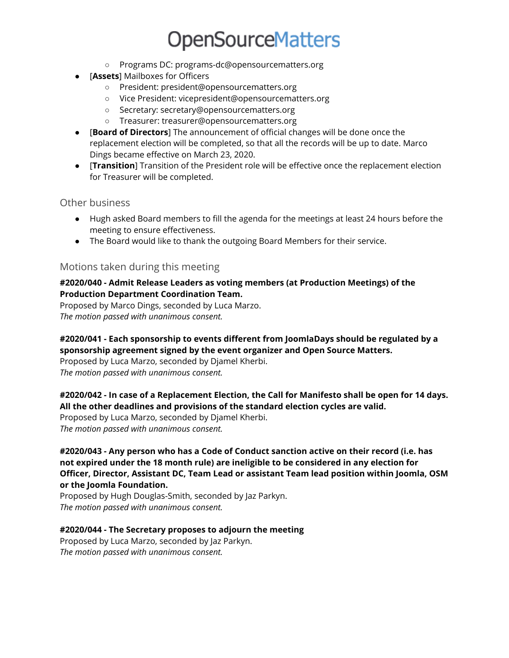- Programs DC: programs-dc@opensourcematters.org
- [**Assets**] Mailboxes for Officers
	- President: president@opensourcematters.org
	- Vice President: vicepresident@opensourcematters.org
	- Secretary: secretary@opensourcematters.org
	- Treasurer: treasurer@opensourcematters.org
- [**Board of Directors**] The announcement of official changes will be done once the replacement election will be completed, so that all the records will be up to date. Marco Dings became effective on March 23, 2020.
- [**Transition**] Transition of the President role will be effective once the replacement election for Treasurer will be completed.

Other business

- Hugh asked Board members to fill the agenda for the meetings at least 24 hours before the meeting to ensure effectiveness.
- The Board would like to thank the outgoing Board Members for their service.

#### Motions taken during this meeting

#### **#2020/040 - Admit Release Leaders as voting members (at Production Meetings) of the Production Department Coordination Team.**

Proposed by Marco Dings, seconded by Luca Marzo. *The motion passed with unanimous consent.*

#### **#2020/041 - Each sponsorship to events different from JoomlaDays should be regulated by a sponsorship agreement signed by the event organizer and Open Source Matters.**

Proposed by Luca Marzo, seconded by Djamel Kherbi. *The motion passed with unanimous consent.*

#### **#2020/042 - In case of a Replacement Election, the Call for Manifesto shall be open for 14 days. All the other deadlines and provisions of the standard election cycles are valid.**

Proposed by Luca Marzo, seconded by Djamel Kherbi. *The motion passed with unanimous consent.*

**#2020/043 - Any person who has a Code of Conduct sanction active on their record (i.e. has not expired under the 18 month rule) are ineligible to be considered in any election for Officer, Director, Assistant DC, Team Lead or assistant Team lead position within Joomla, OSM or the Joomla Foundation.**

Proposed by Hugh Douglas-Smith, seconded by Jaz Parkyn. *The motion passed with unanimous consent.*

#### **#2020/044 - The Secretary proposes to adjourn the meeting**

Proposed by Luca Marzo, seconded by Jaz Parkyn. *The motion passed with unanimous consent.*